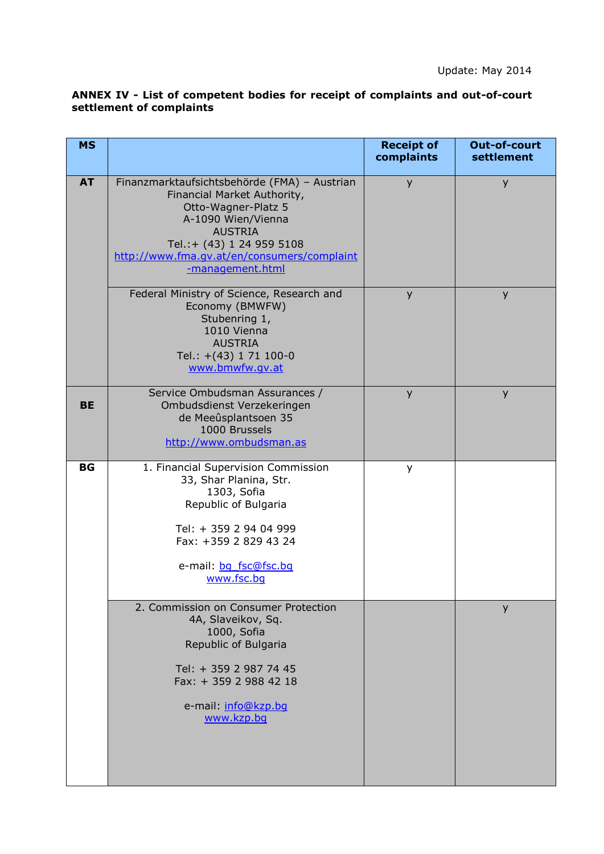## **ANNEX IV - List of competent bodies for receipt of complaints and out-of-court settlement of complaints**

| <b>MS</b> |                                                                                                                                                                                                                                            | <b>Receipt of</b><br>complaints | Out-of-court<br>settlement |
|-----------|--------------------------------------------------------------------------------------------------------------------------------------------------------------------------------------------------------------------------------------------|---------------------------------|----------------------------|
| <b>AT</b> | Finanzmarktaufsichtsbehörde (FMA) - Austrian<br>Financial Market Authority,<br>Otto-Wagner-Platz 5<br>A-1090 Wien/Vienna<br><b>AUSTRIA</b><br>Tel.:+ (43) 1 24 959 5108<br>http://www.fma.gv.at/en/consumers/complaint<br>-management.html | y                               | y                          |
|           | Federal Ministry of Science, Research and<br>Economy (BMWFW)<br>Stubenring 1,<br>1010 Vienna<br><b>AUSTRIA</b><br>Tel.: +(43) 1 71 100-0<br>www.bmwfw.gv.at                                                                                | y                               | y                          |
| <b>BE</b> | Service Ombudsman Assurances /<br>Ombudsdienst Verzekeringen<br>de Meeûsplantsoen 35<br>1000 Brussels<br>http://www.ombudsman.as                                                                                                           | y                               | y                          |
| <b>BG</b> | 1. Financial Supervision Commission<br>33, Shar Planina, Str.<br>1303, Sofia<br>Republic of Bulgaria<br>Tel: + 359 2 94 04 999<br>Fax: +359 2 829 43 24<br>e-mail: bq fsc@fsc.bq<br>www.fsc.bg                                             | y                               |                            |
|           | 2. Commission on Consumer Protection<br>4A, Slaveikov, Sq.<br>1000, Sofia<br>Republic of Bulgaria<br>Tel: + 359 2 987 74 45<br>Fax: + 359 2 988 42 18<br>e-mail: info@kzp.bq<br>www.kzp.bq                                                 |                                 | y                          |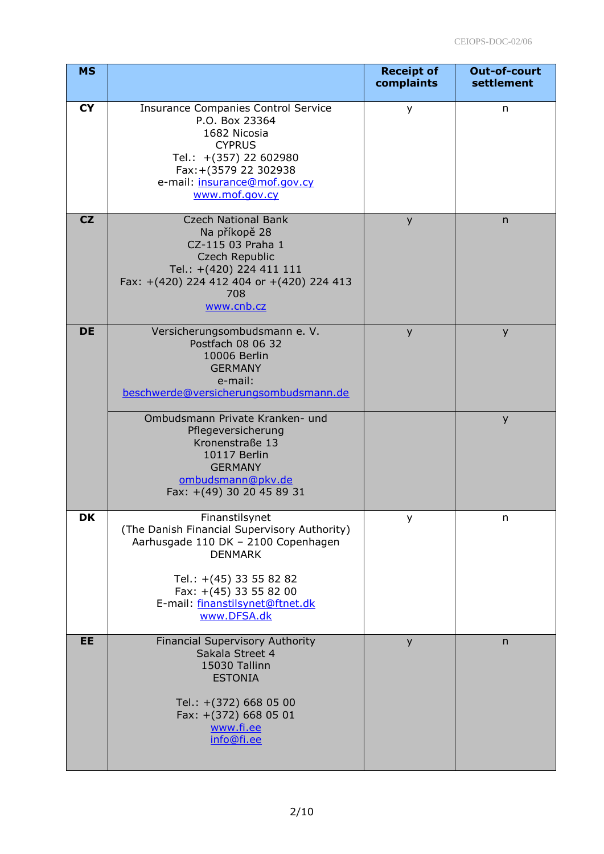| <b>MS</b> |                                                                                                                                                                                                                                | <b>Receipt of</b><br>complaints | Out-of-court<br>settlement |
|-----------|--------------------------------------------------------------------------------------------------------------------------------------------------------------------------------------------------------------------------------|---------------------------------|----------------------------|
| <b>CY</b> | <b>Insurance Companies Control Service</b><br>P.O. Box 23364<br>1682 Nicosia<br><b>CYPRUS</b><br>Tel.: +(357) 22 602980<br>Fax: + (3579 22 302938<br>e-mail: insurance@mof.gov.cy<br>www.mof.gov.cy                            | y                               | n                          |
| CZ        | <b>Czech National Bank</b><br>Na příkopě 28<br>CZ-115 03 Praha 1<br>Czech Republic<br>Tel.: +(420) 224 411 111<br>Fax: +(420) 224 412 404 or +(420) 224 413<br>708<br>www.cnb.cz                                               | y                               | n                          |
| <b>DE</b> | Versicherungsombudsmann e. V.<br>Postfach 08 06 32<br>10006 Berlin<br><b>GERMANY</b><br>e-mail:<br>beschwerde@versicherungsombudsmann.de                                                                                       | y                               | y                          |
|           | Ombudsmann Private Kranken- und<br>Pflegeversicherung<br>Kronenstraße 13<br>10117 Berlin<br><b>GERMANY</b><br>ombudsmann@pkv.de<br>Fax: +(49) 30 20 45 89 31                                                                   |                                 | y                          |
| <b>DK</b> | Finanstilsynet<br>(The Danish Financial Supervisory Authority)<br>Aarhusgade 110 DK - 2100 Copenhagen<br><b>DENMARK</b><br>Tel.: +(45) 33 55 82 82<br>Fax: +(45) 33 55 82 00<br>E-mail: finanstilsynet@ftnet.dk<br>www.DFSA.dk | у                               | n                          |
| EE        | <b>Financial Supervisory Authority</b><br>Sakala Street 4<br>15030 Tallinn<br><b>ESTONIA</b><br>Tel.: +(372) 668 05 00<br>Fax: +(372) 668 05 01<br>www.fi.ee<br>info@fi.ee                                                     | y                               | n                          |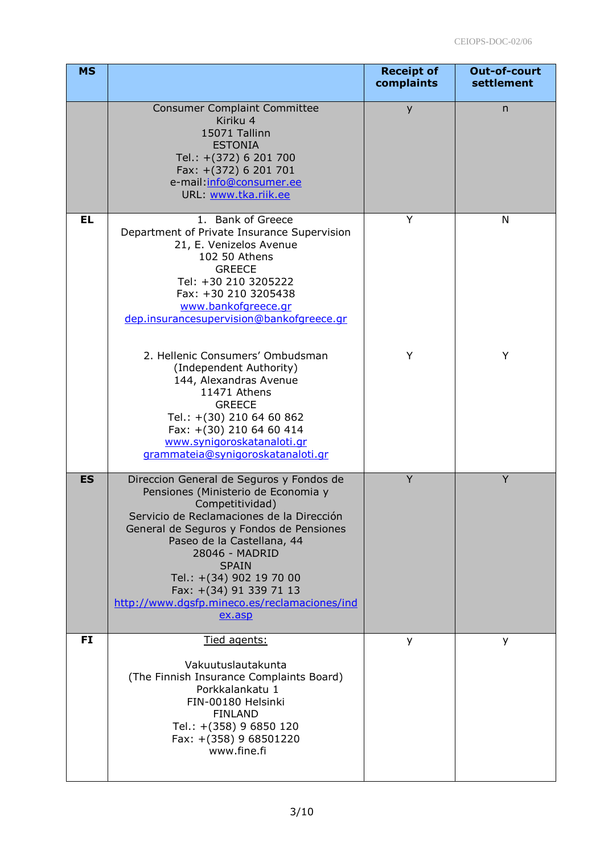| <b>MS</b> |                                                                                                                                                                                                                                                                                                                                                                                      | <b>Receipt of</b><br>complaints | Out-of-court<br>settlement |
|-----------|--------------------------------------------------------------------------------------------------------------------------------------------------------------------------------------------------------------------------------------------------------------------------------------------------------------------------------------------------------------------------------------|---------------------------------|----------------------------|
|           | <b>Consumer Complaint Committee</b><br>Kiriku 4<br>15071 Tallinn<br><b>ESTONIA</b><br>Tel.: +(372) 6 201 700<br>Fax: +(372) 6 201 701<br>e-mail:info@consumer.ee<br>URL www.tka.riik.ee                                                                                                                                                                                              | y                               | n                          |
| <b>EL</b> | 1. Bank of Greece<br>Department of Private Insurance Supervision<br>21, E. Venizelos Avenue<br>102 50 Athens<br><b>GREECE</b><br>Tel: +30 210 3205222<br>Fax: +30 210 3205438<br>www.bankofgreece.gr<br>dep.insurancesupervision@bankofgreece.gr                                                                                                                                     | Y                               | N                          |
|           | 2. Hellenic Consumers' Ombudsman<br>(Independent Authority)<br>144, Alexandras Avenue<br>11471 Athens<br><b>GREECE</b><br>Tel.: +(30) 210 64 60 862<br>Fax: +(30) 210 64 60 414<br>www.synigoroskatanaloti.gr<br>grammateia@synigoroskatanaloti.gr                                                                                                                                   | Υ                               | Υ                          |
| <b>ES</b> | Direccion General de Seguros y Fondos de<br>Pensiones (Ministerio de Economia y<br>Competitividad)<br>Servicio de Reclamaciones de la Dirección<br>General de Seguros y Fondos de Pensiones<br>Paseo de la Castellana, 44<br>28046 - MADRID<br><b>SPAIN</b><br>Tel.: +(34) 902 19 70 00<br>Fax: +(34) 91 339 71 13<br>http://www.dqsfp.mineco.es/reclamaciones/ind<br>ex <b>.asp</b> | Y                               | Y                          |
| <b>FI</b> | Tied agents:<br>Vakuutuslautakunta<br>(The Finnish Insurance Complaints Board)<br>Porkkalankatu 1<br>FIN-00180 Helsinki<br><b>FINLAND</b><br>Tel.: +(358) 9 6850 120<br>Fax: +(358) 9 68501220<br>www.fine.fi                                                                                                                                                                        | У                               | у                          |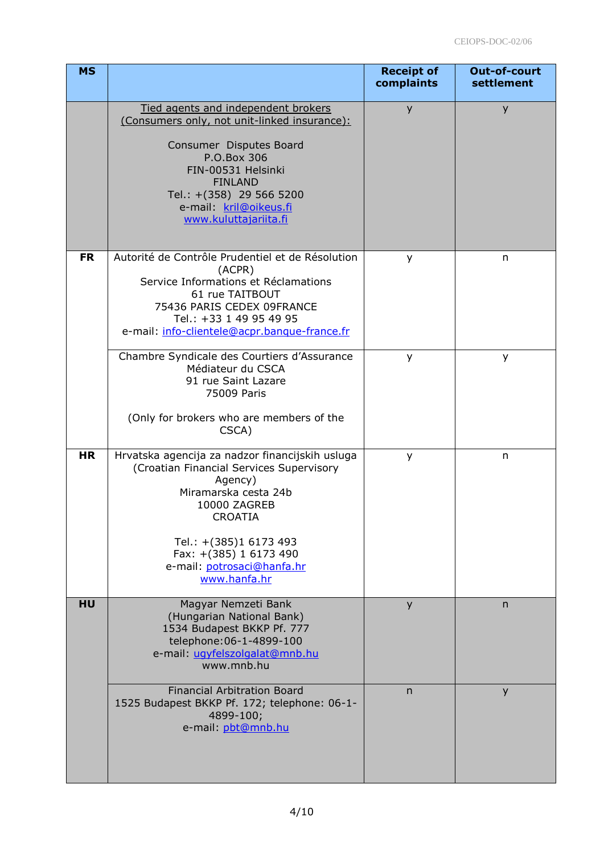| <b>MS</b> |                                                                                                                                                                                                                                                                    | <b>Receipt of</b><br>complaints | Out-of-court<br>settlement |
|-----------|--------------------------------------------------------------------------------------------------------------------------------------------------------------------------------------------------------------------------------------------------------------------|---------------------------------|----------------------------|
|           | Tied agents and independent brokers<br>(Consumers only, not unit-linked insurance):<br>Consumer Disputes Board<br>P.O.Box 306<br>FIN-00531 Helsinki<br><b>FINLAND</b><br>Tel.: +(358) 29 566 5200<br>e-mail: kril@oikeus.fi<br>www.kuluttajariita.fi               | y                               | y                          |
| <b>FR</b> | Autorité de Contrôle Prudentiel et de Résolution<br>(ACPR)<br>Service Informations et Réclamations<br>61 rue TAITBOUT<br>75436 PARIS CEDEX 09FRANCE<br>Tel.: +33 1 49 95 49 95<br>e-mail: info-clientele@acpr.banque-france.fr                                     | У                               | n                          |
|           | Chambre Syndicale des Courtiers d'Assurance<br>Médiateur du CSCA<br>91 rue Saint Lazare<br>75009 Paris<br>(Only for brokers who are members of the<br>CSCA)                                                                                                        | У                               | y                          |
| <b>HR</b> | Hrvatska agencija za nadzor financijskih usluga<br>(Croatian Financial Services Supervisory<br>Agency)<br>Miramarska cesta 24b<br>10000 ZAGREB<br><b>CROATIA</b><br>Tel.: +(385)1 6173 493<br>Fax: +(385) 1 6173 490<br>e-mail: potrosaci@hanfa.hr<br>www.hanfa.hr | y                               | n                          |
| HU        | Magyar Nemzeti Bank<br>(Hungarian National Bank)<br>1534 Budapest BKKP Pf. 777<br>telephone: 06-1-4899-100<br>e-mail: ugyfelszolgalat@mnb.hu<br>www.mnb.hu                                                                                                         | y                               | n                          |
|           | <b>Financial Arbitration Board</b><br>1525 Budapest BKKP Pf. 172; telephone: 06-1-<br>4899-100;<br>e-mail: pbt@mnb.hu                                                                                                                                              | n                               | y                          |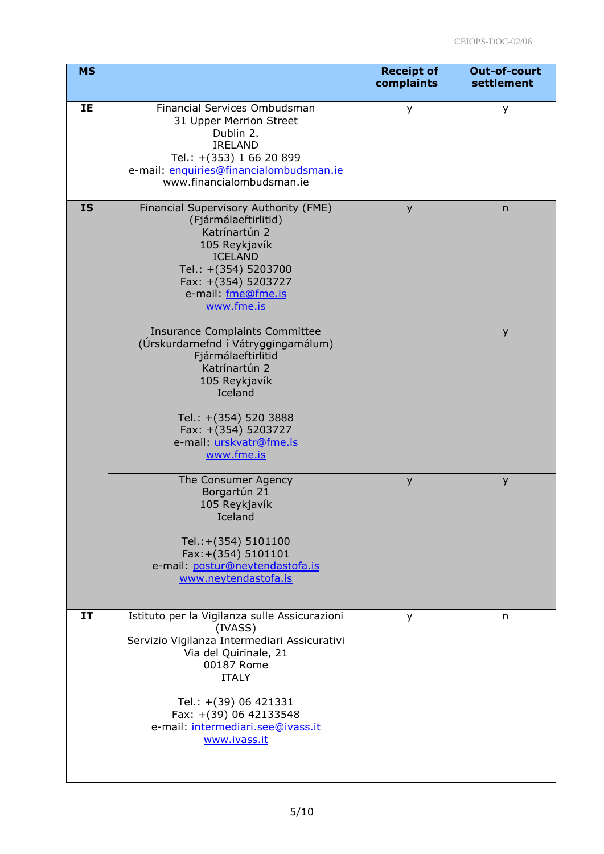| <b>MS</b> |                                                                                                                                                                                                                                                                         | <b>Receipt of</b><br>complaints | Out-of-court<br>settlement |
|-----------|-------------------------------------------------------------------------------------------------------------------------------------------------------------------------------------------------------------------------------------------------------------------------|---------------------------------|----------------------------|
| IE        | Financial Services Ombudsman<br>31 Upper Merrion Street<br>Dublin 2.<br><b>IRELAND</b><br>Tel.: +(353) 1 66 20 899<br>e-mail: enquiries@financialombudsman.ie<br>www.financialombudsman.ie                                                                              | y                               | у                          |
| <b>IS</b> | Financial Supervisory Authority (FME)<br>(Fjármálaeftirlitid)<br>Katrínartún 2<br>105 Reykjavík<br><b>ICELAND</b><br>Tel.: +(354) 5203700<br>Fax: +(354) 5203727<br>e-mail: fme@fme.is<br>www.fme.is                                                                    | y                               | $\mathsf{n}$               |
|           | <b>Insurance Complaints Committee</b><br>(Úrskurdarnefnd í Vátryggingamálum)<br>Fjármálaeftirlitid<br>Katrínartún 2<br>105 Reykjavík<br>Iceland<br>Tel.: +(354) 520 3888<br>Fax: +(354) 5203727<br>e-mail: urskvatr@fme.is<br>www.fme.is                                |                                 | y                          |
|           | The Consumer Agency<br>Borgartún 21<br>105 Reykjavík<br>Iceland<br>Tel.:+(354) 5101100<br>Fax: +(354) 5101101<br>e-mail: postur@neytendastofa.is<br>www.neytendastofa.is                                                                                                | y                               | y                          |
| IT        | Istituto per la Vigilanza sulle Assicurazioni<br>(IVASS)<br>Servizio Vigilanza Intermediari Assicurativi<br>Via del Quirinale, 21<br>00187 Rome<br><b>ITALY</b><br>Tel.: +(39) 06 421331<br>Fax: +(39) 06 42133548<br>e-mail: intermediari.see@ivass.it<br>www.ivass.it | у                               | n                          |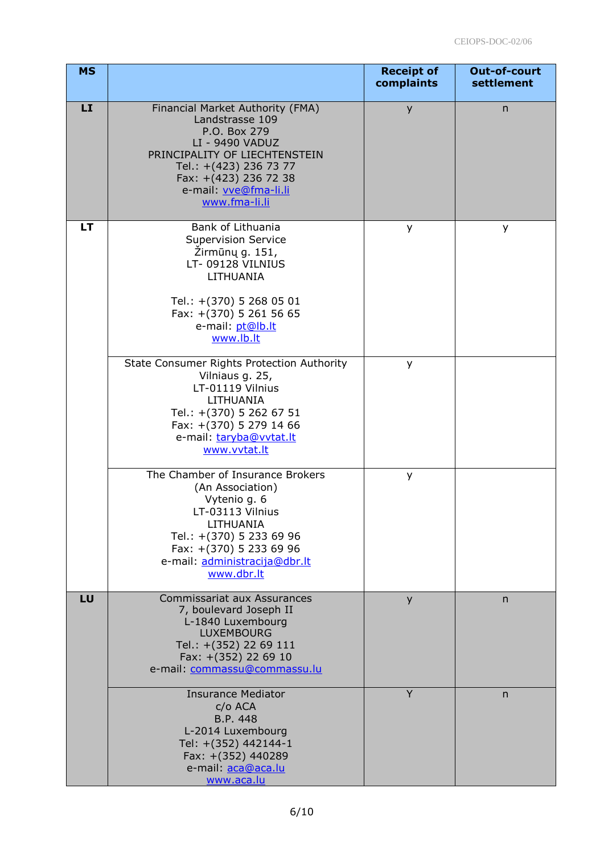| <b>MS</b> |                                                                                                                                                                                                                      | <b>Receipt of</b><br>complaints | Out-of-court<br>settlement |
|-----------|----------------------------------------------------------------------------------------------------------------------------------------------------------------------------------------------------------------------|---------------------------------|----------------------------|
| <b>LI</b> | Financial Market Authority (FMA)<br>Landstrasse 109<br>P.O. Box 279<br>LI - 9490 VADUZ<br>PRINCIPALITY OF LIECHTENSTEIN<br>Tel.: +(423) 236 73 77<br>Fax: +(423) 236 72 38<br>e-mail: vve@fma-li.li<br>www.fma-li.li | y                               | $\mathsf{n}$               |
| LT        | Bank of Lithuania<br><b>Supervision Service</b><br>Zirmūnų g. 151,<br>LT-09128 VILNIUS<br>LITHUANIA<br>Tel.: +(370) 5 268 05 01<br>Fax: +(370) 5 261 56 65<br>e-mail: pt@lb.lt<br>www.lb.lt                          | у                               | у                          |
|           | State Consumer Rights Protection Authority<br>Vilniaus g. 25,<br>LT-01119 Vilnius<br>LITHUANIA<br>Tel.: +(370) 5 262 67 51<br>Fax: +(370) 5 279 14 66<br>e-mail: taryba@vvtat.lt<br>www.vvtat.lt                     | y                               |                            |
|           | The Chamber of Insurance Brokers<br>(An Association)<br>Vytenio g. 6<br>LT-03113 Vilnius<br>LITHUANIA<br>Tel.: +(370) 5 233 69 96<br>Fax: +(370) 5 233 69 96<br>e-mail: administracija@dbr.lt<br>www.dbr.lt          | y                               |                            |
| LU        | <b>Commissariat aux Assurances</b><br>7, boulevard Joseph II<br>L-1840 Luxembourg<br><b>LUXEMBOURG</b><br>Tel.: +(352) 22 69 111<br>Fax: +(352) 22 69 10<br>e-mail: commassu@commassu.lu                             | y                               | n.                         |
|           | <b>Insurance Mediator</b><br>c/o ACA<br>B.P. 448<br>L-2014 Luxembourg<br>Tel: +(352) 442144-1<br>Fax: +(352) 440289<br>e-mail: aca@aca.lu<br>www.aca.lu                                                              | Y                               | $\mathsf{n}$               |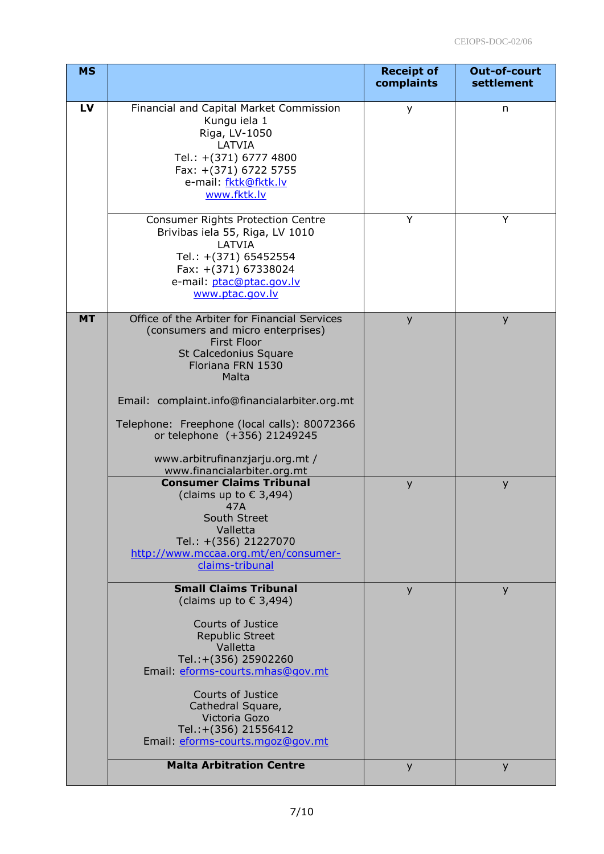| <b>MS</b> |                                                                                                                                                                                       | <b>Receipt of</b><br>complaints | Out-of-court<br>settlement |
|-----------|---------------------------------------------------------------------------------------------------------------------------------------------------------------------------------------|---------------------------------|----------------------------|
| LV        | Financial and Capital Market Commission<br>Kungu iela 1<br>Riga, LV-1050<br>LATVIA<br>Tel.: +(371) 6777 4800<br>Fax: +(371) 6722 5755<br>e-mail: fktk@fktk.lv<br>www.fktk.lv          | y                               | n                          |
|           | <b>Consumer Rights Protection Centre</b><br>Brivibas iela 55, Riga, LV 1010<br>LATVIA<br>Tel.: +(371) 65452554<br>Fax: +(371) 67338024<br>e-mail: ptac@ptac.gov.lv<br>www.ptac.gov.lv | Y                               | Y                          |
| <b>MT</b> | Office of the Arbiter for Financial Services<br>(consumers and micro enterprises)<br><b>First Floor</b><br>St Calcedonius Square<br>Floriana FRN 1530<br>Malta                        | y                               | y                          |
|           | Email: complaint.info@financialarbiter.org.mt                                                                                                                                         |                                 |                            |
|           | Telephone: Freephone (local calls): 80072366<br>or telephone (+356) 21249245<br>www.arbitrufinanzjarju.org.mt /                                                                       |                                 |                            |
|           | www.financialarbiter.org.mt<br><b>Consumer Claims Tribunal</b>                                                                                                                        | y                               | У                          |
|           | (claims up to $\epsilon$ 3,494)<br>47A<br>South Street<br>Valletta<br>Tel.: +(356) 21227070<br>http://www.mccaa.org.mt/en/consumer-<br>claims-tribunal                                |                                 |                            |
|           | <b>Small Claims Tribunal</b><br>(claims up to $\epsilon$ 3,494)                                                                                                                       | y                               | y                          |
|           | Courts of Justice<br><b>Republic Street</b><br>Valletta<br>Tel.:+(356) 25902260<br>Email: eforms-courts.mhas@gov.mt                                                                   |                                 |                            |
|           | Courts of Justice<br>Cathedral Square,<br>Victoria Gozo<br>Tel.:+(356) 21556412<br>Email: eforms-courts.mgoz@gov.mt                                                                   |                                 |                            |
|           | <b>Malta Arbitration Centre</b>                                                                                                                                                       | y                               | y                          |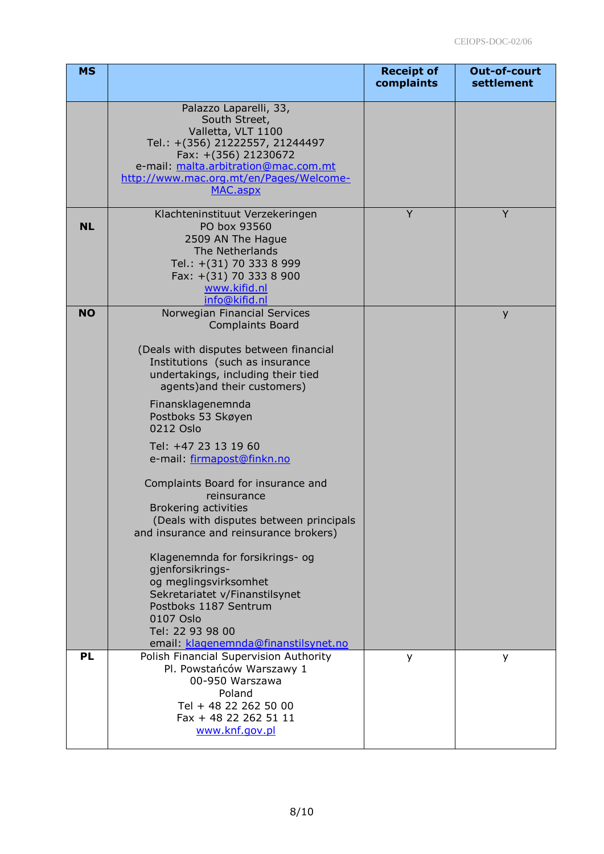| <b>MS</b> |                                                                                                                                                                                                                                                                                                                                                                                                                                                                                                                                                                                                                                                                                                                       | <b>Receipt of</b><br>complaints | Out-of-court<br>settlement |
|-----------|-----------------------------------------------------------------------------------------------------------------------------------------------------------------------------------------------------------------------------------------------------------------------------------------------------------------------------------------------------------------------------------------------------------------------------------------------------------------------------------------------------------------------------------------------------------------------------------------------------------------------------------------------------------------------------------------------------------------------|---------------------------------|----------------------------|
|           | Palazzo Laparelli, 33,<br>South Street,<br>Valletta, VLT 1100<br>Tel.: +(356) 21222557, 21244497<br>Fax: +(356) 21230672<br>e-mail: malta.arbitration@mac.com.mt<br>http://www.mac.org.mt/en/Pages/Welcome-<br>MAC.aspx                                                                                                                                                                                                                                                                                                                                                                                                                                                                                               |                                 |                            |
| <b>NL</b> | Klachteninstituut Verzekeringen<br>PO box 93560<br>2509 AN The Hague<br>The Netherlands<br>Tel.: +(31) 70 333 8 999<br>Fax: +(31) 70 333 8 900<br>www.kifid.nl<br>info@kifid.nl                                                                                                                                                                                                                                                                                                                                                                                                                                                                                                                                       | Y                               | Y                          |
| <b>NO</b> | Norwegian Financial Services<br><b>Complaints Board</b><br>(Deals with disputes between financial<br>Institutions (such as insurance<br>undertakings, including their tied<br>agents) and their customers)<br>Finansklagenemnda<br>Postboks 53 Skøyen<br>0212 Oslo<br>Tel: +47 23 13 19 60<br>e-mail: firmapost@finkn.no<br>Complaints Board for insurance and<br>reinsurance<br><b>Brokering activities</b><br>(Deals with disputes between principals<br>and insurance and reinsurance brokers)<br>Klagenemnda for forsikrings- og<br>gjenforsikrings-<br>og meglingsvirksomhet<br>Sekretariatet v/Finanstilsynet<br>Postboks 1187 Sentrum<br>0107 Oslo<br>Tel: 22 93 98 00<br>email: klagenemnda@finanstilsynet.no |                                 | y                          |
| <b>PL</b> | Polish Financial Supervision Authority<br>Pl. Powstańców Warszawy 1<br>00-950 Warszawa<br>Poland<br>Tel + 48 22 262 50 00<br>Fax + 48 22 262 51 11<br>www.knf.gov.pl                                                                                                                                                                                                                                                                                                                                                                                                                                                                                                                                                  | y                               | y                          |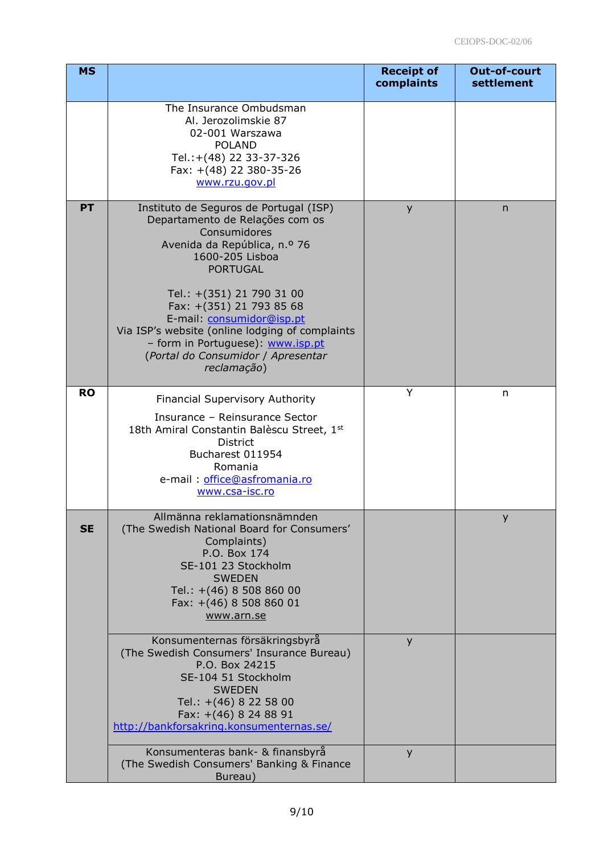| <b>MS</b> |                                                                                                                                                                                                                                                                                                                                                                                                    | <b>Receipt of</b><br>complaints | Out-of-court<br>settlement |
|-----------|----------------------------------------------------------------------------------------------------------------------------------------------------------------------------------------------------------------------------------------------------------------------------------------------------------------------------------------------------------------------------------------------------|---------------------------------|----------------------------|
|           | The Insurance Ombudsman<br>Al. Jerozolimskie 87<br>02-001 Warszawa<br><b>POLAND</b><br>Tel.:+(48) 22 33-37-326<br>Fax: +(48) 22 380-35-26<br>www.rzu.gov.pl                                                                                                                                                                                                                                        |                                 |                            |
| <b>PT</b> | Instituto de Seguros de Portugal (ISP)<br>Departamento de Relações com os<br>Consumidores<br>Avenida da República, n.º 76<br>1600-205 Lisboa<br><b>PORTUGAL</b><br>Tel.: +(351) 21 790 31 00<br>Fax: +(351) 21 793 85 68<br>E-mail: consumidor@isp.pt<br>Via ISP's website (online lodging of complaints<br>- form in Portuguese): www.isp.pt<br>(Portal do Consumidor / Apresentar<br>reclamação) | y                               | n                          |
| <b>RO</b> | <b>Financial Supervisory Authority</b><br>Insurance - Reinsurance Sector<br>18th Amiral Constantin Balèscu Street, 1st<br><b>District</b><br>Bucharest 011954<br>Romania<br>e-mail: office@asfromania.ro<br>www.csa-isc.ro                                                                                                                                                                         | Y                               | n                          |
| <b>SE</b> | Allmänna reklamationsnämnden<br>(The Swedish National Board for Consumers'<br>Complaints)<br>P.O. Box 174<br>SE-101 23 Stockholm<br><b>SWEDEN</b><br>Tel.: +(46) 8 508 860 00<br>Fax: +(46) 8 508 860 01<br>www.arn.se<br>Konsumenternas försäkringsbyrå<br>(The Swedish Consumers' Insurance Bureau)<br>P.O. Box 24215<br>SE-104 51 Stockholm<br><b>SWEDEN</b>                                    | y                               | y                          |
|           | Tel.: +(46) 8 22 58 00<br>Fax: +(46) 8 24 88 91<br>http://bankforsakring.konsumenternas.se/<br>Konsumenteras bank- & finansbyrå<br>(The Swedish Consumers' Banking & Finance                                                                                                                                                                                                                       | y                               |                            |
|           | Bureau)                                                                                                                                                                                                                                                                                                                                                                                            |                                 |                            |